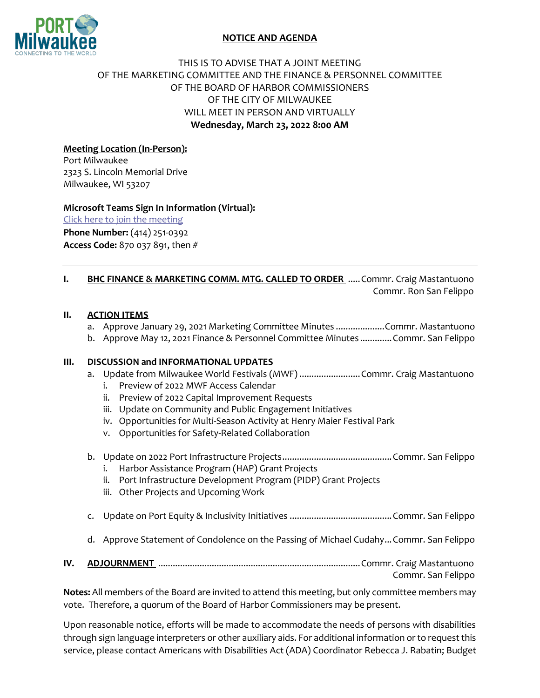

## **NOTICE AND AGENDA**

# THIS IS TO ADVISE THAT A JOINT MEETING OF THE MARKETING COMMITTEE AND THE FINANCE & PERSONNEL COMMITTEE OF THE BOARD OF HARBOR COMMISSIONERS OF THE CITY OF MILWAUKEE WILL MEET IN PERSON AND VIRTUALLY **Wednesday, March 23, 2022 8:00 AM**

## **Meeting Location (In-Person):**

Port Milwaukee 2323 S. Lincoln Memorial Drive Milwaukee, WI 53207

#### **Microsoft Teams Sign In Information (Virtual):**

[Click here to join the meeting](https://teams.microsoft.com/l/meetup-join/19%3ameeting_NWZiMjA4MjctYWJhMC00ZWUzLWFhM2ItYTY0NzIyMWVjNmVi%40thread.v2/0?context=%7b%22Tid%22%3a%2238886459-5f77-4622-b90e-436c994ba501%22%2c%22Oid%22%3a%227046d0ce-fef8-4a16-96f9-32c70038dc03%22%7d) **Phone Number:** (414) 251-0392 **Access Code:** 870 037 891, then #

**I. BHC FINANCE & MARKETING COMM. MTG. CALLED TO ORDER** .....Commr. Craig Mastantuono Commr. Ron San Felippo

#### **II. ACTION ITEMS**

- a. Approve January 29, 2021 Marketing Committee Minutes ....................Commr. Mastantuono
- b. Approve May 12, 2021 Finance & Personnel Committee Minutes .............Commr. San Felippo

### **III. DISCUSSION and INFORMATIONAL UPDATES**

- a. Update from Milwaukee World Festivals (MWF) ...........................Commr. Craig Mastantuono
	- i. Preview of 2022 MWF Access Calendar
	- ii. Preview of 2022 Capital Improvement Requests
	- iii. Update on Community and Public Engagement Initiatives
	- iv. Opportunities for Multi-Season Activity at Henry Maier Festival Park
	- v. Opportunities for Safety-Related Collaboration
- b. Update on 2022 Port Infrastructure Projects.............................................Commr. San Felippo
	- i. Harbor Assistance Program (HAP) Grant Projects
	- ii. Port Infrastructure Development Program (PIDP) Grant Projects
	- iii. Other Projects and Upcoming Work
- c. Update on Port Equity & Inclusivity Initiatives ..........................................Commr. San Felippo
- d. Approve Statement of Condolence on the Passing of Michael Cudahy...Commr. San Felippo
- **IV. ADJOURNMENT** ...................................................................................Commr. Craig Mastantuono Commr. San Felippo

**Notes:** All members of the Board are invited to attend this meeting, but only committee members may vote. Therefore, a quorum of the Board of Harbor Commissioners may be present.

Upon reasonable notice, efforts will be made to accommodate the needs of persons with disabilities through sign language interpreters or other auxiliary aids. For additional information or to request this service, please contact Americans with Disabilities Act (ADA) Coordinator Rebecca J. Rabatin; Budget